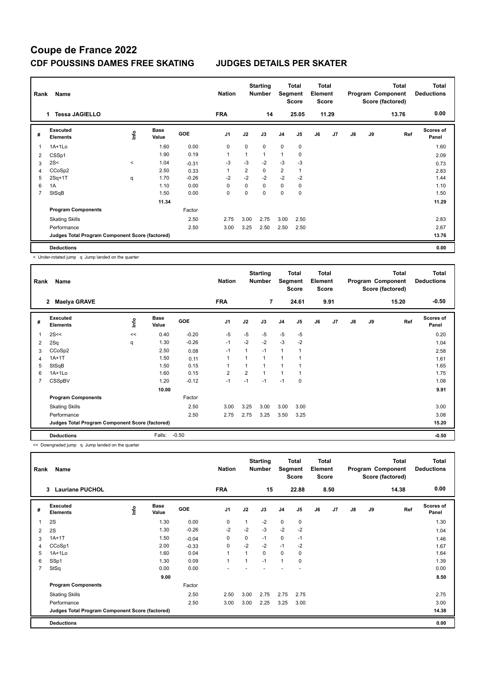| Rank           | Name                                            |              |                      |         | <b>Nation</b>  |             | <b>Starting</b><br><b>Number</b> |                | <b>Total</b><br>Segment<br><b>Score</b> | <b>Total</b><br>Element<br><b>Score</b> |       |               |    | <b>Total</b><br>Program Component<br>Score (factored) | <b>Total</b><br><b>Deductions</b> |
|----------------|-------------------------------------------------|--------------|----------------------|---------|----------------|-------------|----------------------------------|----------------|-----------------------------------------|-----------------------------------------|-------|---------------|----|-------------------------------------------------------|-----------------------------------|
|                | <b>Tessa JAGIELLO</b><br>1.                     |              |                      |         | <b>FRA</b>     |             | 14                               |                | 25.05                                   |                                         | 11.29 |               |    | 13.76                                                 | 0.00                              |
| #              | <b>Executed</b><br><b>Elements</b>              | lnfo         | <b>Base</b><br>Value | GOE     | J <sub>1</sub> | J2          | J3                               | J <sub>4</sub> | J <sub>5</sub>                          | J6                                      | J7    | $\mathsf{J}8$ | J9 | Ref                                                   | <b>Scores of</b><br>Panel         |
|                | 1A+1Lo                                          |              | 1.60                 | 0.00    | 0              | 0           | $\mathbf 0$                      | $\mathbf 0$    | $\mathbf 0$                             |                                         |       |               |    |                                                       | 1.60                              |
| $\overline{2}$ | CSSp1                                           |              | 1.90                 | 0.19    | 1              | 1           | 1                                | 1              | 0                                       |                                         |       |               |    |                                                       | 2.09                              |
| 3              | 2S<                                             | $\checkmark$ | 1.04                 | $-0.31$ | $-3$           | $-3$        | $-2$                             | $-3$           | $-3$                                    |                                         |       |               |    |                                                       | 0.73                              |
| 4              | CCoSp2                                          |              | 2.50                 | 0.33    |                | 2           | 0                                | $\overline{2}$ | $\overline{1}$                          |                                         |       |               |    |                                                       | 2.83                              |
| 5              | $2Sq+1T$                                        | q            | 1.70                 | $-0.26$ | $-2$           | $-2$        | $-2$                             | $-2$           | $-2$                                    |                                         |       |               |    |                                                       | 1.44                              |
| 6              | 1A                                              |              | 1.10                 | 0.00    | 0              | 0           | $\mathbf 0$                      | 0              | 0                                       |                                         |       |               |    |                                                       | 1.10                              |
| 7              | StSqB                                           |              | 1.50                 | 0.00    | 0              | $\mathbf 0$ | $\mathbf 0$                      | 0              | $\mathbf 0$                             |                                         |       |               |    |                                                       | 1.50                              |
|                |                                                 |              | 11.34                |         |                |             |                                  |                |                                         |                                         |       |               |    |                                                       | 11.29                             |
|                | <b>Program Components</b>                       |              |                      | Factor  |                |             |                                  |                |                                         |                                         |       |               |    |                                                       |                                   |
|                | <b>Skating Skills</b>                           |              |                      | 2.50    | 2.75           | 3.00        | 2.75                             | 3.00           | 2.50                                    |                                         |       |               |    |                                                       | 2.83                              |
|                | Performance                                     |              |                      | 2.50    | 3.00           | 3.25        | 2.50                             | 2.50           | 2.50                                    |                                         |       |               |    |                                                       | 2.67                              |
|                | Judges Total Program Component Score (factored) |              |                      |         |                |             |                                  |                |                                         |                                         |       |               |    |                                                       | 13.76                             |
|                | <b>Deductions</b>                               |              |                      |         |                |             |                                  |                |                                         |                                         |       |               |    |                                                       | 0.00                              |

< Under-rotated jump q Jump landed on the quarter

| Rank           | Name                                            |      |                      |         | <b>Nation</b>  |                | <b>Starting</b><br><b>Number</b> | Segment        | <b>Total</b><br><b>Score</b> | <b>Total</b><br>Element<br><b>Score</b> |                |               |    | <b>Total</b><br>Program Component<br>Score (factored) | <b>Total</b><br><b>Deductions</b> |
|----------------|-------------------------------------------------|------|----------------------|---------|----------------|----------------|----------------------------------|----------------|------------------------------|-----------------------------------------|----------------|---------------|----|-------------------------------------------------------|-----------------------------------|
|                | <b>Maelya GRAVE</b><br>$\mathbf{2}$             |      |                      |         | <b>FRA</b>     |                | $\overline{7}$                   |                | 24.61                        |                                         | 9.91           |               |    | 15.20                                                 | $-0.50$                           |
| #              | <b>Executed</b><br><b>Elements</b>              | ١nf٥ | <b>Base</b><br>Value | GOE     | J <sub>1</sub> | J2             | J3                               | J <sub>4</sub> | J5                           | J6                                      | J <sub>7</sub> | $\mathsf{J}8$ | J9 | Ref                                                   | <b>Scores of</b><br>Panel         |
| 1              | 2S<<                                            | <<   | 0.40                 | $-0.20$ | $-5$           | $-5$           | $-5$                             | $-5$           | $-5$                         |                                         |                |               |    |                                                       | 0.20                              |
| 2              | 2Sq                                             | q    | 1.30                 | $-0.26$ | $-1$           | $-2$           | $-2$                             | $-3$           | $-2$                         |                                         |                |               |    |                                                       | 1.04                              |
| 3              | CCoSp2                                          |      | 2.50                 | 0.08    | $-1$           | 1              | $-1$                             | $\overline{1}$ |                              |                                         |                |               |    |                                                       | 2.58                              |
| 4              | $1A+1T$                                         |      | 1.50                 | 0.11    | 1              | 1              | 1                                | $\overline{ }$ |                              |                                         |                |               |    |                                                       | 1.61                              |
| 5              | StSqB                                           |      | 1.50                 | 0.15    | 1              |                | $\overline{\mathbf{A}}$          |                |                              |                                         |                |               |    |                                                       | 1.65                              |
| 6              | $1A+1L0$                                        |      | 1.60                 | 0.15    | $\overline{2}$ | $\overline{2}$ | 4                                | $\overline{1}$ |                              |                                         |                |               |    |                                                       | 1.75                              |
| $\overline{7}$ | CSSpBV                                          |      | 1.20                 | $-0.12$ | $-1$           | $-1$           | $-1$                             | $-1$           | $\mathbf 0$                  |                                         |                |               |    |                                                       | 1.08                              |
|                |                                                 |      | 10.00                |         |                |                |                                  |                |                              |                                         |                |               |    |                                                       | 9.91                              |
|                | <b>Program Components</b>                       |      |                      | Factor  |                |                |                                  |                |                              |                                         |                |               |    |                                                       |                                   |
|                | <b>Skating Skills</b>                           |      |                      | 2.50    | 3.00           | 3.25           | 3.00                             | 3.00           | 3.00                         |                                         |                |               |    |                                                       | 3.00                              |
|                | Performance                                     |      |                      | 2.50    | 2.75           | 2.75           | 3.25                             | 3.50           | 3.25                         |                                         |                |               |    |                                                       | 3.08                              |
|                | Judges Total Program Component Score (factored) |      |                      |         |                |                |                                  |                |                              |                                         |                |               |    |                                                       | 15.20                             |
|                | <b>Deductions</b>                               |      | Falls:               | $-0.50$ |                |                |                                  |                |                              |                                         |                |               |    |                                                       | $-0.50$                           |

<< Downgraded jump q Jump landed on the quarter

| Rank           | Name                                            |            |                      |            | <b>Nation</b>  |      | <b>Starting</b><br><b>Number</b> | Segment        | <b>Total</b><br><b>Score</b> | <b>Total</b><br>Element<br><b>Score</b> |      |               |    | <b>Total</b><br>Program Component<br>Score (factored) | <b>Total</b><br><b>Deductions</b> |
|----------------|-------------------------------------------------|------------|----------------------|------------|----------------|------|----------------------------------|----------------|------------------------------|-----------------------------------------|------|---------------|----|-------------------------------------------------------|-----------------------------------|
|                | <b>Lauriane PUCHOL</b><br>3                     |            |                      |            | <b>FRA</b>     |      | 15                               |                | 22.88                        |                                         | 8.50 |               |    | 14.38                                                 | 0.00                              |
| #              | Executed<br><b>Elements</b>                     | <u>f</u> o | <b>Base</b><br>Value | <b>GOE</b> | J <sub>1</sub> | J2   | J3                               | J4             | J5                           | J6                                      | J7   | $\mathsf{J}8$ | J9 | Ref                                                   | <b>Scores of</b><br>Panel         |
|                | 2S                                              |            | 1.30                 | 0.00       | 0              |      | $-2$                             | $\mathbf 0$    | $\mathbf 0$                  |                                         |      |               |    |                                                       | 1.30                              |
| $\overline{2}$ | 2S                                              |            | 1.30                 | $-0.26$    | $-2$           | $-2$ | $-3$                             | $-2$           | $-2$                         |                                         |      |               |    |                                                       | 1.04                              |
| 3              | $1A+1T$                                         |            | 1.50                 | $-0.04$    | 0              | 0    | $-1$                             | 0              | $-1$                         |                                         |      |               |    |                                                       | 1.46                              |
| 4              | CCoSp1                                          |            | 2.00                 | $-0.33$    | $\mathbf 0$    | $-2$ | $-2$                             | $-1$           | $-2$                         |                                         |      |               |    |                                                       | 1.67                              |
| 5              | $1A+1Lo$                                        |            | 1.60                 | 0.04       | $\mathbf{1}$   |      | 0                                | $\Omega$       | 0                            |                                         |      |               |    |                                                       | 1.64                              |
| 6              | SSp1                                            |            | 1.30                 | 0.09       | 1              |      | $-1$                             | $\overline{1}$ | 0                            |                                         |      |               |    |                                                       | 1.39                              |
| 7              | StSq                                            |            | 0.00                 | 0.00       |                |      |                                  |                |                              |                                         |      |               |    |                                                       | 0.00                              |
|                |                                                 |            | 9.00                 |            |                |      |                                  |                |                              |                                         |      |               |    |                                                       | 8.50                              |
|                | <b>Program Components</b>                       |            |                      | Factor     |                |      |                                  |                |                              |                                         |      |               |    |                                                       |                                   |
|                | <b>Skating Skills</b>                           |            |                      | 2.50       | 2.50           | 3.00 | 2.75                             | 2.75           | 2.75                         |                                         |      |               |    |                                                       | 2.75                              |
|                | Performance                                     |            |                      | 2.50       | 3.00           | 3.00 | 2.25                             | 3.25           | 3.00                         |                                         |      |               |    |                                                       | 3.00                              |
|                | Judges Total Program Component Score (factored) |            |                      |            |                |      |                                  |                |                              |                                         |      |               |    |                                                       | 14.38                             |
|                | <b>Deductions</b>                               |            |                      |            |                |      |                                  |                |                              |                                         |      |               |    |                                                       | 0.00                              |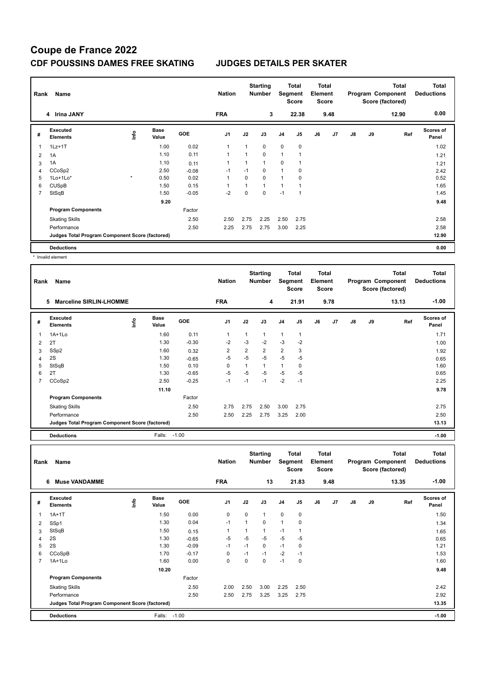| Rank | Name                                            |         | <b>Nation</b>        |         | <b>Starting</b><br><b>Number</b> |          | <b>Total</b><br>Segment<br><b>Score</b> | Total<br>Element<br><b>Score</b> |                |    |      | <b>Total</b><br>Program Component<br>Score (factored) | <b>Total</b><br><b>Deductions</b> |       |                           |
|------|-------------------------------------------------|---------|----------------------|---------|----------------------------------|----------|-----------------------------------------|----------------------------------|----------------|----|------|-------------------------------------------------------|-----------------------------------|-------|---------------------------|
|      | 4 Irina JANY                                    |         |                      |         | <b>FRA</b>                       |          | 3                                       |                                  | 22.38          |    | 9.48 |                                                       |                                   | 12.90 | 0.00                      |
| #    | <b>Executed</b><br><b>Elements</b>              | ١nf٥    | <b>Base</b><br>Value | GOE     | J <sub>1</sub>                   | J2       | J3                                      | J <sub>4</sub>                   | J <sub>5</sub> | J6 | J7   | J8                                                    | J9                                | Ref   | <b>Scores of</b><br>Panel |
| 1    | $1Lz+1T$                                        |         | 1.00                 | 0.02    | 1                                | 1        | $\mathbf 0$                             | $\mathbf 0$                      | $\pmb{0}$      |    |      |                                                       |                                   |       | 1.02                      |
| 2    | 1A                                              |         | 1.10                 | 0.11    | 1                                | 1        | $\mathbf 0$                             | $\mathbf{1}$                     | 1              |    |      |                                                       |                                   |       | 1.21                      |
| 3    | 1A                                              |         | 1.10                 | 0.11    | 1                                | 1        | $\mathbf{1}$                            | 0                                | 1              |    |      |                                                       |                                   |       | 1.21                      |
| 4    | CCoSp2                                          |         | 2.50                 | $-0.08$ | $-1$                             | $-1$     | 0                                       | $\mathbf{1}$                     | 0              |    |      |                                                       |                                   |       | 2.42                      |
| 5    | $1$ Lo $+1$ Lo $*$                              | $\star$ | 0.50                 | 0.02    | 1                                | $\Omega$ | $\mathbf 0$                             | $\mathbf{1}$                     | 0              |    |      |                                                       |                                   |       | 0.52                      |
| 6    | <b>CUSpB</b>                                    |         | 1.50                 | 0.15    | 1                                | 1        | $\mathbf{1}$                            | 1                                | 1              |    |      |                                                       |                                   |       | 1.65                      |
| 7    | StSqB                                           |         | 1.50                 | $-0.05$ | $-2$                             | 0        | $\mathbf{0}$                            | $-1$                             | 1              |    |      |                                                       |                                   |       | 1.45                      |
|      |                                                 |         | 9.20                 |         |                                  |          |                                         |                                  |                |    |      |                                                       |                                   |       | 9.48                      |
|      | <b>Program Components</b>                       |         |                      | Factor  |                                  |          |                                         |                                  |                |    |      |                                                       |                                   |       |                           |
|      | <b>Skating Skills</b>                           |         |                      | 2.50    | 2.50                             | 2.75     | 2.25                                    | 2.50                             | 2.75           |    |      |                                                       |                                   |       | 2.58                      |
|      | Performance                                     |         |                      | 2.50    | 2.25                             | 2.75     | 2.75                                    | 3.00                             | 2.25           |    |      |                                                       |                                   |       | 2.58                      |
|      | Judges Total Program Component Score (factored) |         |                      |         |                                  |          |                                         |                                  |                |    |      |                                                       |                                   |       | 12.90                     |
|      | <b>Deductions</b>                               |         |                      |         |                                  |          |                                         |                                  |                |    |      |                                                       |                                   |       | 0.00                      |

\* Invalid element

| Rank | Name                                            |      |                      |            | <b>Nation</b>  |                | <b>Starting</b><br><b>Number</b> | Segment        | <b>Total</b><br><b>Score</b> | Total<br>Element<br><b>Score</b> |                |    |    | <b>Total</b><br>Program Component<br>Score (factored) | <b>Total</b><br><b>Deductions</b> |
|------|-------------------------------------------------|------|----------------------|------------|----------------|----------------|----------------------------------|----------------|------------------------------|----------------------------------|----------------|----|----|-------------------------------------------------------|-----------------------------------|
|      | 5<br><b>Marceline SIRLIN-LHOMME</b>             |      |                      |            | <b>FRA</b>     |                | 4                                |                | 21.91                        |                                  | 9.78           |    |    | 13.13                                                 | $-1.00$                           |
| #    | <b>Executed</b><br><b>Elements</b>              | ١nfo | <b>Base</b><br>Value | <b>GOE</b> | J <sub>1</sub> | J2             | J3                               | J4             | J <sub>5</sub>               | J6                               | J <sub>7</sub> | J8 | J9 | Ref                                                   | <b>Scores of</b><br>Panel         |
| 1    | 1A+1Lo                                          |      | 1.60                 | 0.11       | 1              | 1              | $\mathbf{1}$                     | $\overline{1}$ | 1                            |                                  |                |    |    |                                                       | 1.71                              |
| 2    | 2T                                              |      | 1.30                 | $-0.30$    | $-2$           | $-3$           | $-2$                             | $-3$           | $-2$                         |                                  |                |    |    |                                                       | 1.00                              |
| 3    | SSp2                                            |      | 1.60                 | 0.32       | $\overline{2}$ | $\overline{2}$ | $\overline{2}$                   | 2              | 3                            |                                  |                |    |    |                                                       | 1.92                              |
| 4    | 2S                                              |      | 1.30                 | $-0.65$    | -5             | $-5$           | $-5$                             | $-5$           | $-5$                         |                                  |                |    |    |                                                       | 0.65                              |
| 5    | StSqB                                           |      | 1.50                 | 0.10       | 0              | 1              | 1                                | $\mathbf{1}$   | 0                            |                                  |                |    |    |                                                       | 1.60                              |
| 6    | 2T                                              |      | 1.30                 | $-0.65$    | $-5$           | $-5$           | $-5$                             | $-5$           | $-5$                         |                                  |                |    |    |                                                       | 0.65                              |
| 7    | CCoSp2                                          |      | 2.50                 | $-0.25$    | $-1$           | $-1$           | $-1$                             | $-2$           | $-1$                         |                                  |                |    |    |                                                       | 2.25                              |
|      |                                                 |      | 11.10                |            |                |                |                                  |                |                              |                                  |                |    |    |                                                       | 9.78                              |
|      | <b>Program Components</b>                       |      |                      | Factor     |                |                |                                  |                |                              |                                  |                |    |    |                                                       |                                   |
|      | <b>Skating Skills</b>                           |      |                      | 2.50       | 2.75           | 2.75           | 2.50                             | 3.00           | 2.75                         |                                  |                |    |    |                                                       | 2.75                              |
|      | Performance                                     |      |                      | 2.50       | 2.50           | 2.25           | 2.75                             | 3.25           | 2.00                         |                                  |                |    |    |                                                       | 2.50                              |
|      | Judges Total Program Component Score (factored) |      |                      |            |                |                |                                  |                |                              |                                  |                |    |    |                                                       | 13.13                             |
|      | <b>Deductions</b>                               |      | Falls:               | $-1.00$    |                |                |                                  |                |                              |                                  |                |    |    |                                                       | $-1.00$                           |

| Rank           | Name                                            |      |                      |            | <b>Nation</b>  |          | <b>Starting</b><br><b>Number</b> | Segment      | Total<br><b>Score</b> | <b>Total</b><br>Element<br><b>Score</b> |      |    |    | <b>Total</b><br>Program Component<br>Score (factored) | <b>Total</b><br><b>Deductions</b> |
|----------------|-------------------------------------------------|------|----------------------|------------|----------------|----------|----------------------------------|--------------|-----------------------|-----------------------------------------|------|----|----|-------------------------------------------------------|-----------------------------------|
|                | <b>Muse VANDAMME</b><br>6                       |      |                      |            | <b>FRA</b>     |          | 13                               |              | 21.83                 |                                         | 9.48 |    |    | 13.35                                                 | $-1.00$                           |
| #              | Executed<br><b>Elements</b>                     | ١nfo | <b>Base</b><br>Value | <b>GOE</b> | J <sub>1</sub> | J2       | J3                               | J4           | J <sub>5</sub>        | J6                                      | J7   | J8 | J9 | Ref                                                   | <b>Scores of</b><br>Panel         |
| 1              | $1A+1T$                                         |      | 1.50                 | 0.00       | 0              | $\Omega$ | $\mathbf{1}$                     | $\mathbf 0$  | 0                     |                                         |      |    |    |                                                       | 1.50                              |
| $\overline{2}$ | SSp1                                            |      | 1.30                 | 0.04       | $-1$           | 1        | 0                                | $\mathbf{1}$ | 0                     |                                         |      |    |    |                                                       | 1.34                              |
| 3              | StSqB                                           |      | 1.50                 | 0.15       | 1              | 1        | $\mathbf{1}$                     | $-1$         | 1                     |                                         |      |    |    |                                                       | 1.65                              |
| $\overline{4}$ | 2S                                              |      | 1.30                 | $-0.65$    | $-5$           | $-5$     | $-5$                             | $-5$         | $-5$                  |                                         |      |    |    |                                                       | 0.65                              |
| 5              | 2S                                              |      | 1.30                 | $-0.09$    | $-1$           | $-1$     | 0                                | $-1$         | 0                     |                                         |      |    |    |                                                       | 1.21                              |
| 6              | CCoSpB                                          |      | 1.70                 | $-0.17$    | 0              | $-1$     | $-1$                             | $-2$         | $-1$                  |                                         |      |    |    |                                                       | 1.53                              |
| $\overline{7}$ | $1A+1Lo$                                        |      | 1.60                 | 0.00       | 0              | 0        | 0                                | $-1$         | 0                     |                                         |      |    |    |                                                       | 1.60                              |
|                |                                                 |      | 10.20                |            |                |          |                                  |              |                       |                                         |      |    |    |                                                       | 9.48                              |
|                | <b>Program Components</b>                       |      |                      | Factor     |                |          |                                  |              |                       |                                         |      |    |    |                                                       |                                   |
|                | <b>Skating Skills</b>                           |      |                      | 2.50       | 2.00           | 2.50     | 3.00                             | 2.25         | 2.50                  |                                         |      |    |    |                                                       | 2.42                              |
|                | Performance                                     |      |                      | 2.50       | 2.50           | 2.75     | 3.25                             | 3.25         | 2.75                  |                                         |      |    |    |                                                       | 2.92                              |
|                | Judges Total Program Component Score (factored) |      |                      |            |                |          |                                  |              |                       |                                         |      |    |    |                                                       | 13.35                             |
|                | <b>Deductions</b>                               |      | Falls:               | $-1.00$    |                |          |                                  |              |                       |                                         |      |    |    |                                                       | $-1.00$                           |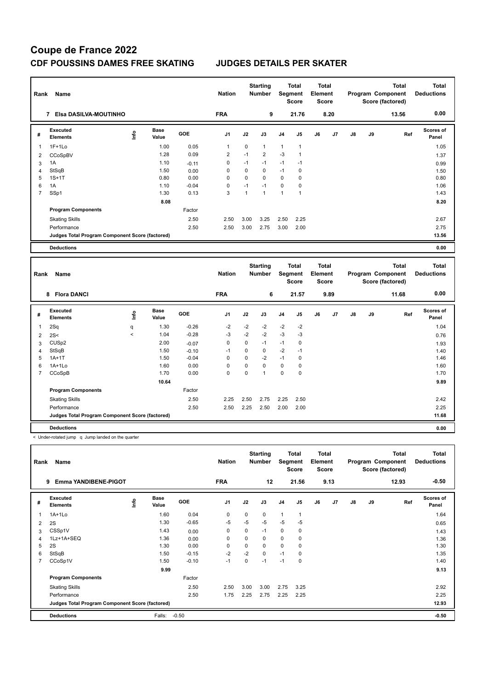| Rank           | Name                                            |      |                      |            | <b>Nation</b>  |              | <b>Starting</b><br><b>Number</b> |                | <b>Total</b><br>Segment<br><b>Score</b> | <b>Total</b><br>Element<br><b>Score</b> |                |    |    | <b>Total</b><br>Program Component<br>Score (factored) | <b>Total</b><br><b>Deductions</b> |
|----------------|-------------------------------------------------|------|----------------------|------------|----------------|--------------|----------------------------------|----------------|-----------------------------------------|-----------------------------------------|----------------|----|----|-------------------------------------------------------|-----------------------------------|
|                | Elsa DASILVA-MOUTINHO<br>$\overline{7}$         |      |                      |            | <b>FRA</b>     |              | 9                                |                | 21.76                                   |                                         | 8.20           |    |    | 13.56                                                 | 0.00                              |
| #              | Executed<br><b>Elements</b>                     | ١nf٥ | <b>Base</b><br>Value | <b>GOE</b> | J <sub>1</sub> | J2           | J3                               | J <sub>4</sub> | J <sub>5</sub>                          | J6                                      | J <sub>7</sub> | J8 | J9 | Ref                                                   | Scores of<br>Panel                |
| -1             | $1F+1Lo$                                        |      | 1.00                 | 0.05       | 1              | 0            | $\mathbf{1}$                     | $\mathbf{1}$   | $\overline{1}$                          |                                         |                |    |    |                                                       | 1.05                              |
| 2              | CCoSpBV                                         |      | 1.28                 | 0.09       | $\overline{2}$ | $-1$         | $\overline{2}$                   | $-3$           | $\overline{1}$                          |                                         |                |    |    |                                                       | 1.37                              |
| 3              | 1A                                              |      | 1.10                 | $-0.11$    | 0              | $-1$         | $-1$                             | $-1$           | $-1$                                    |                                         |                |    |    |                                                       | 0.99                              |
| 4              | <b>StSqB</b>                                    |      | 1.50                 | 0.00       | $\Omega$       | $\Omega$     | 0                                | $-1$           | 0                                       |                                         |                |    |    |                                                       | 1.50                              |
| 5              | $1S+1T$                                         |      | 0.80                 | 0.00       | $\Omega$       | $\Omega$     | $\Omega$                         | 0              | 0                                       |                                         |                |    |    |                                                       | 0.80                              |
| 6              | 1A                                              |      | 1.10                 | $-0.04$    | 0              | $-1$         | $-1$                             | 0              | 0                                       |                                         |                |    |    |                                                       | 1.06                              |
| $\overline{7}$ | SSp1                                            |      | 1.30                 | 0.13       | 3              | $\mathbf{1}$ | $\mathbf{1}$                     | $\mathbf{1}$   | $\overline{1}$                          |                                         |                |    |    |                                                       | 1.43                              |
|                |                                                 |      | 8.08                 |            |                |              |                                  |                |                                         |                                         |                |    |    |                                                       | 8.20                              |
|                | <b>Program Components</b>                       |      |                      | Factor     |                |              |                                  |                |                                         |                                         |                |    |    |                                                       |                                   |
|                | <b>Skating Skills</b>                           |      |                      | 2.50       | 2.50           | 3.00         | 3.25                             | 2.50           | 2.25                                    |                                         |                |    |    |                                                       | 2.67                              |
|                | Performance                                     |      |                      | 2.50       | 2.50           | 3.00         | 2.75                             | 3.00           | 2.00                                    |                                         |                |    |    |                                                       | 2.75                              |
|                | Judges Total Program Component Score (factored) |      |                      |            |                |              |                                  |                |                                         |                                         |                |    |    |                                                       | 13.56                             |
|                | <b>Deductions</b>                               |      |                      |            |                |              |                                  |                |                                         |                                         |                |    |    |                                                       | 0.00                              |
|                |                                                 |      |                      |            |                |              |                                  |                |                                         |                                         |                |    |    |                                                       |                                   |
| Rank           | Name                                            |      |                      |            | <b>Nation</b>  |              | <b>Starting</b><br><b>Number</b> |                | <b>Total</b><br>Segment<br><b>Score</b> | <b>Total</b><br>Element<br><b>Score</b> |                |    |    | <b>Total</b><br>Program Component<br>Score (factored) | Total<br><b>Deductions</b>        |
|                | <b>Flora DANCI</b><br>8                         |      |                      |            | <b>FRA</b>     |              | 6                                |                | 21.57                                   |                                         | 9.89           |    |    | 11.68                                                 | 0.00                              |

|   | ö<br><b>FIOR DANCE</b>                          |         |               |         | FRA            |      | O                       |                | 21.57       |    | 9.89 |    |    | 11.00 | v.vv                      |
|---|-------------------------------------------------|---------|---------------|---------|----------------|------|-------------------------|----------------|-------------|----|------|----|----|-------|---------------------------|
| # | Executed<br><b>Elements</b>                     | ١nto    | Base<br>Value | GOE     | J <sub>1</sub> | J2   | J3                      | J <sub>4</sub> | J5          | J6 | J7   | J8 | J9 | Ref   | <b>Scores of</b><br>Panel |
|   | 2Sq                                             | q       | 1.30          | $-0.26$ | $-2$           | $-2$ | $-2$                    | $-2$           | $-2$        |    |      |    |    |       | 1.04                      |
| 2 | 2S<                                             | $\prec$ | 1.04          | $-0.28$ | -3             | $-2$ | $-2$                    | -3             | -3          |    |      |    |    |       | 0.76                      |
| 3 | CUSp2                                           |         | 2.00          | $-0.07$ | 0              | 0    | $-1$                    | $-1$           | 0           |    |      |    |    |       | 1.93                      |
| 4 | StSqB                                           |         | 1.50          | $-0.10$ | $-1$           | 0    | 0                       | $-2$           | $-1$        |    |      |    |    |       | 1.40                      |
| 5 | $1A+1T$                                         |         | 1.50          | $-0.04$ | 0              | 0    | $-2$                    | $-1$           | $\mathbf 0$ |    |      |    |    |       | 1.46                      |
| 6 | $1A+1Lo$                                        |         | 1.60          | 0.00    | 0              | 0    | 0                       | 0              | 0           |    |      |    |    |       | 1.60                      |
| 7 | CCoSpB                                          |         | 1.70          | 0.00    | 0              | 0    | $\overline{\mathbf{A}}$ | $\pmb{0}$      | 0           |    |      |    |    |       | 1.70                      |
|   |                                                 |         | 10.64         |         |                |      |                         |                |             |    |      |    |    |       | 9.89                      |
|   | <b>Program Components</b>                       |         |               | Factor  |                |      |                         |                |             |    |      |    |    |       |                           |
|   | <b>Skating Skills</b>                           |         |               | 2.50    | 2.25           | 2.50 | 2.75                    | 2.25           | 2.50        |    |      |    |    |       | 2.42                      |
|   | Performance                                     |         |               | 2.50    | 2.50           | 2.25 | 2.50                    | 2.00           | 2.00        |    |      |    |    |       | 2.25                      |
|   | Judges Total Program Component Score (factored) |         |               |         |                |      |                         |                |             |    |      |    |    |       | 11.68                     |
|   | <b>Deductions</b>                               |         |               |         |                |      |                         |                |             |    |      |    |    |       | 0.00                      |

< Under-rotated jump q Jump landed on the quarter

| Rank           | Name                                            |      |                      |            | <b>Nation</b>  |             | <b>Starting</b><br><b>Number</b> | Segment        | <b>Total</b><br><b>Score</b> | <b>Total</b><br>Element<br><b>Score</b> |                |    |    | <b>Total</b><br>Program Component<br>Score (factored) | <b>Total</b><br><b>Deductions</b> |
|----------------|-------------------------------------------------|------|----------------------|------------|----------------|-------------|----------------------------------|----------------|------------------------------|-----------------------------------------|----------------|----|----|-------------------------------------------------------|-----------------------------------|
|                | <b>Emma YANDIBENE-PIGOT</b><br>9                |      |                      |            | <b>FRA</b>     |             | 12                               |                | 21.56                        |                                         | 9.13           |    |    | 12.93                                                 | $-0.50$                           |
| #              | Executed<br><b>Elements</b>                     | Info | <b>Base</b><br>Value | <b>GOE</b> | J <sub>1</sub> | J2          | J3                               | J <sub>4</sub> | J <sub>5</sub>               | J6                                      | J <sub>7</sub> | J8 | J9 | Ref                                                   | <b>Scores of</b><br>Panel         |
| 1              | $1A+1L0$                                        |      | 1.60                 | 0.04       | 0              | 0           | 0                                | $\overline{1}$ | 1                            |                                         |                |    |    |                                                       | 1.64                              |
| 2              | 2S                                              |      | 1.30                 | $-0.65$    | -5             | -5          | $-5$                             | -5             | -5                           |                                         |                |    |    |                                                       | 0.65                              |
| 3              | CSSp1V                                          |      | 1.43                 | 0.00       | 0              | $\mathbf 0$ | $-1$                             | $\mathbf 0$    | 0                            |                                         |                |    |    |                                                       | 1.43                              |
| 4              | 1Lz+1A+SEQ                                      |      | 1.36                 | 0.00       | 0              | $\Omega$    | 0                                | $\mathbf 0$    | 0                            |                                         |                |    |    |                                                       | 1.36                              |
| 5              | 2S                                              |      | 1.30                 | 0.00       | 0              | $\Omega$    | 0                                | $\mathbf 0$    | 0                            |                                         |                |    |    |                                                       | 1.30                              |
| 6              | StSqB                                           |      | 1.50                 | $-0.15$    | $-2$           | $-2$        | $\Omega$                         | $-1$           | 0                            |                                         |                |    |    |                                                       | 1.35                              |
| $\overline{7}$ | CCoSp1V                                         |      | 1.50                 | $-0.10$    | $-1$           | 0           | $-1$                             | $-1$           | 0                            |                                         |                |    |    |                                                       | 1.40                              |
|                |                                                 |      | 9.99                 |            |                |             |                                  |                |                              |                                         |                |    |    |                                                       | 9.13                              |
|                | <b>Program Components</b>                       |      |                      | Factor     |                |             |                                  |                |                              |                                         |                |    |    |                                                       |                                   |
|                | <b>Skating Skills</b>                           |      |                      | 2.50       | 2.50           | 3.00        | 3.00                             | 2.75           | 3.25                         |                                         |                |    |    |                                                       | 2.92                              |
|                | Performance                                     |      |                      | 2.50       | 1.75           | 2.25        | 2.75                             | 2.25           | 2.25                         |                                         |                |    |    |                                                       | 2.25                              |
|                | Judges Total Program Component Score (factored) |      |                      |            |                |             |                                  |                |                              |                                         |                |    |    |                                                       | 12.93                             |
|                | <b>Deductions</b>                               |      | Falls:               | $-0.50$    |                |             |                                  |                |                              |                                         |                |    |    |                                                       | $-0.50$                           |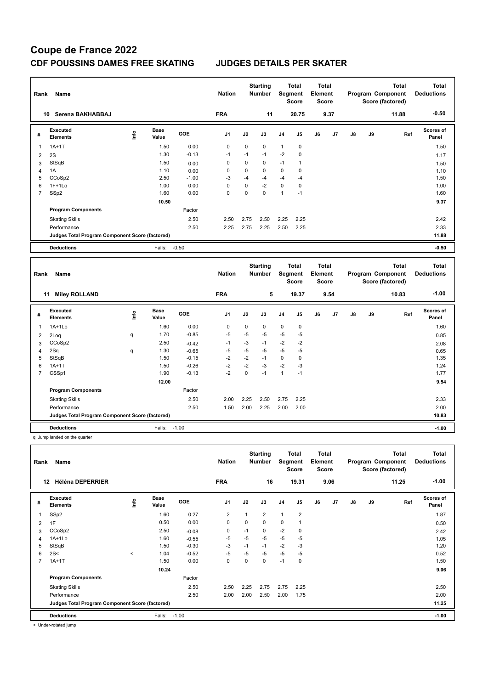| Rank           | Name                                            |      |                      |         | <b>Nation</b>  |             | <b>Starting</b><br><b>Number</b> | Segment        | <b>Total</b><br><b>Score</b> | <b>Total</b><br>Element<br><b>Score</b> |      |    |    | <b>Total</b><br><b>Program Component</b><br>Score (factored) | <b>Total</b><br><b>Deductions</b> |
|----------------|-------------------------------------------------|------|----------------------|---------|----------------|-------------|----------------------------------|----------------|------------------------------|-----------------------------------------|------|----|----|--------------------------------------------------------------|-----------------------------------|
| 10             | Serena BAKHABBAJ                                |      |                      |         | <b>FRA</b>     |             | 11                               |                | 20.75                        |                                         | 9.37 |    |    | 11.88                                                        | $-0.50$                           |
| #              | Executed<br><b>Elements</b>                     | lnfo | <b>Base</b><br>Value | GOE     | J <sub>1</sub> | J2          | J3                               | J <sub>4</sub> | J <sub>5</sub>               | J6                                      | J7   | J8 | J9 | Ref                                                          | <b>Scores of</b><br>Panel         |
|                | $1A+1T$                                         |      | 1.50                 | 0.00    | 0              | 0           | $\mathbf 0$                      | $\mathbf{1}$   | 0                            |                                         |      |    |    |                                                              | 1.50                              |
| $\overline{2}$ | 2S                                              |      | 1.30                 | $-0.13$ | $-1$           | $-1$        | $-1$                             | $-2$           | 0                            |                                         |      |    |    |                                                              | 1.17                              |
| 3              | StSqB                                           |      | 1.50                 | 0.00    | 0              | $\Omega$    | $\mathbf 0$                      | $-1$           | $\overline{1}$               |                                         |      |    |    |                                                              | 1.50                              |
| $\overline{4}$ | 1A                                              |      | 1.10                 | 0.00    | 0              | 0           | 0                                | 0              | 0                            |                                         |      |    |    |                                                              | 1.10                              |
| 5              | CCoSp2                                          |      | 2.50                 | $-1.00$ | $-3$           | $-4$        | $-4$                             | $-4$           | $-4$                         |                                         |      |    |    |                                                              | 1.50                              |
| 6              | $1F+1Lo$                                        |      | 1.00                 | 0.00    | 0              | $\mathbf 0$ | $-2$                             | $\mathbf 0$    | 0                            |                                         |      |    |    |                                                              | 1.00                              |
| $\overline{7}$ | SSp2                                            |      | 1.60                 | 0.00    | $\Omega$       | $\Omega$    | $\Omega$                         | $\mathbf{1}$   | $-1$                         |                                         |      |    |    |                                                              | 1.60                              |
|                |                                                 |      | 10.50                |         |                |             |                                  |                |                              |                                         |      |    |    |                                                              | 9.37                              |
|                | <b>Program Components</b>                       |      |                      | Factor  |                |             |                                  |                |                              |                                         |      |    |    |                                                              |                                   |
|                | <b>Skating Skills</b>                           |      |                      | 2.50    | 2.50           | 2.75        | 2.50                             | 2.25           | 2.25                         |                                         |      |    |    |                                                              | 2.42                              |
|                | Performance                                     |      |                      | 2.50    | 2.25           | 2.75        | 2.25                             | 2.50           | 2.25                         |                                         |      |    |    |                                                              | 2.33                              |
|                | Judges Total Program Component Score (factored) |      |                      |         |                |             |                                  |                |                              |                                         |      |    |    |                                                              | 11.88                             |
|                | <b>Deductions</b>                               |      | Falls:               | $-0.50$ |                |             |                                  |                |                              |                                         |      |    |    |                                                              | $-0.50$                           |
|                |                                                 |      |                      |         |                |             |                                  |                |                              |                                         |      |    |    |                                                              |                                   |
| Rank           | Name                                            |      |                      |         | <b>Nation</b>  |             | <b>Starting</b><br><b>Number</b> | Segment        | <b>Total</b><br><b>Score</b> | <b>Total</b><br>Element<br><b>Score</b> |      |    |    | <b>Total</b><br><b>Program Component</b><br>Score (factored) | <b>Total</b><br><b>Deductions</b> |
|                | <b>Miley ROLLAND</b><br>11                      |      |                      |         | <b>FRA</b>     |             | 5                                |                | 19.37                        |                                         | 9.54 |    |    | 10.83                                                        | $-1.00$                           |

| #              | Executed<br><b>Elements</b>                     | ۴ů | Base<br>Value | <b>GOE</b> | J <sub>1</sub> | J2   | J3   | J <sub>4</sub> | J <sub>5</sub> | J6 | J7 | J8 | J9 | Ref | Scores of<br>Panel |
|----------------|-------------------------------------------------|----|---------------|------------|----------------|------|------|----------------|----------------|----|----|----|----|-----|--------------------|
| $\mathbf{1}$   | $1A+1Lo$                                        |    | 1.60          | 0.00       | 0              | 0    | 0    | 0              | 0              |    |    |    |    |     | 1.60               |
| $\overline{2}$ | 2Loq                                            | q  | 1.70          | $-0.85$    | $-5$           | $-5$ | $-5$ | $-5$           | $-5$           |    |    |    |    |     | 0.85               |
| 3              | CCoSp2                                          |    | 2.50          | $-0.42$    | $-1$           | $-3$ | $-1$ | $-2$           | $-2$           |    |    |    |    |     | 2.08               |
| 4              | 2Sq                                             | q  | 1.30          | $-0.65$    | $-5$           | $-5$ | $-5$ | $-5$           | $-5$           |    |    |    |    |     | 0.65               |
| 5              | StSqB                                           |    | 1.50          | $-0.15$    | $-2$           | $-2$ | $-1$ | 0              | 0              |    |    |    |    |     | 1.35               |
| 6              | $1A+1T$                                         |    | 1.50          | $-0.26$    | $-2$           | $-2$ | $-3$ | $-2$           | $-3$           |    |    |    |    |     | 1.24               |
| $\overline{7}$ | CSSp1                                           |    | 1.90          | $-0.13$    | $-2$           | 0    | $-1$ | 1              | $-1$           |    |    |    |    |     | 1.77               |
|                |                                                 |    | 12.00         |            |                |      |      |                |                |    |    |    |    |     | 9.54               |
|                | <b>Program Components</b>                       |    |               | Factor     |                |      |      |                |                |    |    |    |    |     |                    |
|                | <b>Skating Skills</b>                           |    |               | 2.50       | 2.00           | 2.25 | 2.50 | 2.75           | 2.25           |    |    |    |    |     | 2.33               |
|                | Performance                                     |    |               | 2.50       | 1.50           | 2.00 | 2.25 | 2.00           | 2.00           |    |    |    |    |     | 2.00               |
|                | Judges Total Program Component Score (factored) |    |               |            |                |      |      |                |                |    |    |    |    |     | 10.83              |
|                | <b>Deductions</b>                               |    | Falls:        | $-1.00$    |                |      |      |                |                |    |    |    |    |     | $-1.00$            |

q Jump landed on the quarter

| Rank | Name<br><b>Héléna DEPERRIER</b><br>12           |         |                      |            |                |      | <b>Starting</b><br><b>Number</b> | Segment        | <b>Total</b><br><b>Score</b> | <b>Total</b><br>Element<br><b>Score</b> |      |    |    | <b>Total</b><br>Program Component<br>Score (factored) | <b>Total</b><br><b>Deductions</b> |
|------|-------------------------------------------------|---------|----------------------|------------|----------------|------|----------------------------------|----------------|------------------------------|-----------------------------------------|------|----|----|-------------------------------------------------------|-----------------------------------|
|      |                                                 |         |                      |            | <b>FRA</b>     |      | 16                               |                | 19.31                        |                                         | 9.06 |    |    | 11.25                                                 | $-1.00$                           |
| #    | Executed<br><b>Elements</b>                     | Info    | <b>Base</b><br>Value | <b>GOE</b> | J <sub>1</sub> | J2   | J3                               | J <sub>4</sub> | J <sub>5</sub>               | J6                                      | J7   | J8 | J9 | Ref                                                   | <b>Scores of</b><br>Panel         |
| 1    | SSp2                                            |         | 1.60                 | 0.27       | $\overline{2}$ | 1    | $\overline{2}$                   | $\mathbf{1}$   | $\overline{2}$               |                                         |      |    |    |                                                       | 1.87                              |
| 2    | 1F                                              |         | 0.50                 | 0.00       | $\mathbf 0$    | 0    | 0                                | 0              | 1                            |                                         |      |    |    |                                                       | 0.50                              |
| 3    | CCoSp2                                          |         | 2.50                 | $-0.08$    | 0              | $-1$ | 0                                | $-2$           | 0                            |                                         |      |    |    |                                                       | 2.42                              |
| 4    | 1A+1Lo                                          |         | 1.60                 | $-0.55$    | $-5$           | $-5$ | $-5$                             | $-5$           | $-5$                         |                                         |      |    |    |                                                       | 1.05                              |
| 5    | StSqB                                           |         | 1.50                 | $-0.30$    | $-3$           | $-1$ | $-1$                             | $-2$           | $-3$                         |                                         |      |    |    |                                                       | 1.20                              |
| 6    | 2S<                                             | $\prec$ | 1.04                 | $-0.52$    | $-5$           | $-5$ | $-5$                             | $-5$           | $-5$                         |                                         |      |    |    |                                                       | 0.52                              |
| 7    | $1A+1T$                                         |         | 1.50                 | 0.00       | $\mathbf 0$    | 0    | 0                                | $-1$           | 0                            |                                         |      |    |    |                                                       | 1.50                              |
|      |                                                 |         | 10.24                |            |                |      |                                  |                |                              |                                         |      |    |    |                                                       | 9.06                              |
|      | <b>Program Components</b>                       |         |                      | Factor     |                |      |                                  |                |                              |                                         |      |    |    |                                                       |                                   |
|      | <b>Skating Skills</b>                           |         |                      | 2.50       | 2.50           | 2.25 | 2.75                             | 2.75           | 2.25                         |                                         |      |    |    |                                                       | 2.50                              |
|      | Performance                                     |         |                      | 2.50       | 2.00           | 2.00 | 2.50                             | 2.00           | 1.75                         |                                         |      |    |    |                                                       | 2.00                              |
|      | Judges Total Program Component Score (factored) |         |                      |            |                |      |                                  |                |                              |                                         |      |    |    |                                                       | 11.25                             |
|      | <b>Deductions</b>                               |         | Falls:               | $-1.00$    |                |      |                                  |                |                              |                                         |      |    |    |                                                       | $-1.00$                           |
|      | .                                               |         |                      |            |                |      |                                  |                |                              |                                         |      |    |    |                                                       |                                   |

< Under-rotated jump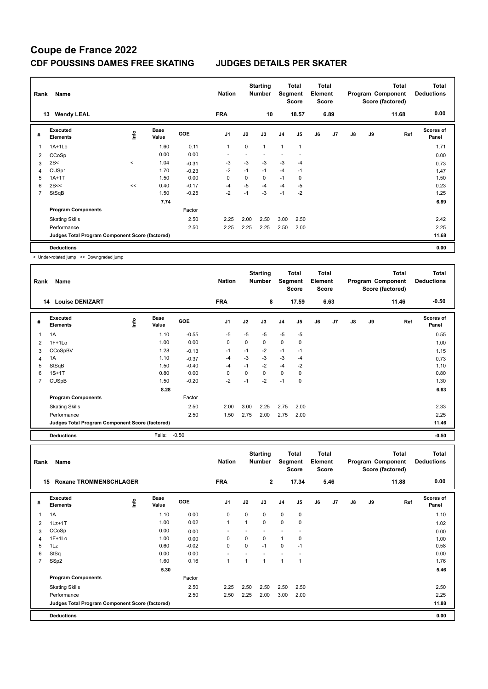| Rank<br>Name |                                                 |         |                      |            | <b>Nation</b>  |      | <b>Starting</b><br><b>Number</b> |                | Total<br>Segment<br><b>Score</b> | <b>Total</b><br>Element<br><b>Score</b> |                |    |    | <b>Total</b><br>Program Component<br>Score (factored) | <b>Total</b><br><b>Deductions</b> |
|--------------|-------------------------------------------------|---------|----------------------|------------|----------------|------|----------------------------------|----------------|----------------------------------|-----------------------------------------|----------------|----|----|-------------------------------------------------------|-----------------------------------|
|              | <b>Wendy LEAL</b><br>13                         |         |                      |            | <b>FRA</b>     |      | 10                               |                | 18.57                            |                                         | 6.89           |    |    | 11.68                                                 | 0.00                              |
| #            | <b>Executed</b><br><b>Elements</b>              | ١nf٥    | <b>Base</b><br>Value | <b>GOE</b> | J <sub>1</sub> | J2   | J3                               | J <sub>4</sub> | J <sub>5</sub>                   | J6                                      | J <sub>7</sub> | J8 | J9 | Ref                                                   | <b>Scores of</b><br>Panel         |
|              | $1A+1Lo$                                        |         | 1.60                 | 0.11       | 1              | 0    | $\mathbf{1}$                     | $\mathbf{1}$   | $\overline{1}$                   |                                         |                |    |    |                                                       | 1.71                              |
| 2            | CCoSp                                           |         | 0.00                 | 0.00       |                |      |                                  |                |                                  |                                         |                |    |    |                                                       | 0.00                              |
| 3            | 2S<                                             | $\prec$ | 1.04                 | $-0.31$    | $-3$           | $-3$ | $-3$                             | $-3$           | $-4$                             |                                         |                |    |    |                                                       | 0.73                              |
| 4            | CUSp1                                           |         | 1.70                 | $-0.23$    | $-2$           | $-1$ | $-1$                             | $-4$           | $-1$                             |                                         |                |    |    |                                                       | 1.47                              |
| 5            | $1A+1T$                                         |         | 1.50                 | 0.00       | 0              | 0    | 0                                | $-1$           | 0                                |                                         |                |    |    |                                                       | 1.50                              |
| 6            | 2S<<                                            | <<      | 0.40                 | $-0.17$    | $-4$           | $-5$ | $-4$                             | $-4$           | $-5$                             |                                         |                |    |    |                                                       | 0.23                              |
| 7            | StSqB                                           |         | 1.50                 | $-0.25$    | $-2$           | $-1$ | $-3$                             | $-1$           | $-2$                             |                                         |                |    |    |                                                       | 1.25                              |
|              |                                                 |         | 7.74                 |            |                |      |                                  |                |                                  |                                         |                |    |    |                                                       | 6.89                              |
|              | <b>Program Components</b>                       |         |                      | Factor     |                |      |                                  |                |                                  |                                         |                |    |    |                                                       |                                   |
|              | <b>Skating Skills</b>                           |         |                      | 2.50       | 2.25           | 2.00 | 2.50                             | 3.00           | 2.50                             |                                         |                |    |    |                                                       | 2.42                              |
|              | Performance                                     |         |                      | 2.50       | 2.25           | 2.25 | 2.25                             | 2.50           | 2.00                             |                                         |                |    |    |                                                       | 2.25                              |
|              | Judges Total Program Component Score (factored) |         |                      |            |                |      |                                  |                |                                  |                                         |                |    |    |                                                       | 11.68                             |
|              | <b>Deductions</b>                               |         |                      |            |                |      |                                  |                |                                  |                                         |                |    |    |                                                       | 0.00                              |

< Under-rotated jump << Downgraded jump

| Rank | Name                                            |      |                      |            | <b>Nation</b>  |      | <b>Starting</b><br><b>Number</b> |                | <b>Total</b><br>Segment<br><b>Score</b> | <b>Total</b><br>Element<br><b>Score</b> |                |    |    | <b>Total</b><br>Program Component<br>Score (factored) | <b>Total</b><br><b>Deductions</b> |
|------|-------------------------------------------------|------|----------------------|------------|----------------|------|----------------------------------|----------------|-----------------------------------------|-----------------------------------------|----------------|----|----|-------------------------------------------------------|-----------------------------------|
|      | <b>Louise DENIZART</b><br>14                    |      |                      |            | <b>FRA</b>     |      | 8                                |                | 17.59                                   |                                         | 6.63           |    |    | 11.46                                                 | $-0.50$                           |
| #    | Executed<br><b>Elements</b>                     | lnfo | <b>Base</b><br>Value | <b>GOE</b> | J <sub>1</sub> | J2   | J3                               | J <sub>4</sub> | J5                                      | J6                                      | J <sub>7</sub> | J8 | J9 | Ref                                                   | Scores of<br>Panel                |
| 1    | 1A                                              |      | 1.10                 | $-0.55$    | $-5$           | $-5$ | $-5$                             | $-5$           | $-5$                                    |                                         |                |    |    |                                                       | 0.55                              |
| 2    | $1F+1Lo$                                        |      | 1.00                 | 0.00       | 0              | 0    | 0                                | $\mathbf 0$    | 0                                       |                                         |                |    |    |                                                       | 1.00                              |
| 3    | CCoSpBV                                         |      | 1.28                 | $-0.13$    | $-1$           | $-1$ | $-2$                             | $-1$           | $-1$                                    |                                         |                |    |    |                                                       | 1.15                              |
| 4    | 1A                                              |      | 1.10                 | $-0.37$    | $-4$           | $-3$ | $-3$                             | $-3$           | $-4$                                    |                                         |                |    |    |                                                       | 0.73                              |
| 5    | StSqB                                           |      | 1.50                 | $-0.40$    | $-4$           | $-1$ | $-2$                             | $-4$           | $-2$                                    |                                         |                |    |    |                                                       | 1.10                              |
| 6    | $1S+1T$                                         |      | 0.80                 | 0.00       | 0              | 0    | 0                                | $\mathbf 0$    | 0                                       |                                         |                |    |    |                                                       | 0.80                              |
| 7    | <b>CUSpB</b>                                    |      | 1.50                 | $-0.20$    | $-2$           | $-1$ | $-2$                             | $-1$           | 0                                       |                                         |                |    |    |                                                       | 1.30                              |
|      |                                                 |      | 8.28                 |            |                |      |                                  |                |                                         |                                         |                |    |    |                                                       | 6.63                              |
|      | <b>Program Components</b>                       |      |                      | Factor     |                |      |                                  |                |                                         |                                         |                |    |    |                                                       |                                   |
|      | <b>Skating Skills</b>                           |      |                      | 2.50       | 2.00           | 3.00 | 2.25                             | 2.75           | 2.00                                    |                                         |                |    |    |                                                       | 2.33                              |
|      | Performance                                     |      |                      | 2.50       | 1.50           | 2.75 | 2.00                             | 2.75           | 2.00                                    |                                         |                |    |    |                                                       | 2.25                              |
|      | Judges Total Program Component Score (factored) |      |                      |            |                |      |                                  |                |                                         |                                         |                |    |    |                                                       | 11.46                             |
|      | <b>Deductions</b>                               |      | Falls:               | $-0.50$    |                |      |                                  |                |                                         |                                         |                |    |    |                                                       | $-0.50$                           |

| Name<br>Rank   |                                                 |      |                      |            | <b>Nation</b>  |             | <b>Starting</b><br><b>Number</b> | Segment        | <b>Total</b><br><b>Score</b> | Total<br>Element<br><b>Score</b> |      | <b>Total</b><br>Program Component<br>Score (factored) |    |       | <b>Total</b><br><b>Deductions</b> |
|----------------|-------------------------------------------------|------|----------------------|------------|----------------|-------------|----------------------------------|----------------|------------------------------|----------------------------------|------|-------------------------------------------------------|----|-------|-----------------------------------|
|                | <b>Roxane TROMMENSCHLAGER</b><br>15             |      |                      |            | <b>FRA</b>     |             | $\mathbf{2}$                     |                | 17.34                        |                                  | 5.46 |                                                       |    | 11.88 | 0.00                              |
| #              | Executed<br><b>Elements</b>                     | Info | <b>Base</b><br>Value | <b>GOE</b> | J <sub>1</sub> | J2          | J3                               | J <sub>4</sub> | J5                           | J6                               | J7   | $\mathsf{J}8$                                         | J9 | Ref   | Scores of<br>Panel                |
| 1              | 1A                                              |      | 1.10                 | 0.00       | $\mathbf 0$    | $\mathbf 0$ | $\mathbf 0$                      | $\mathbf 0$    | $\mathbf 0$                  |                                  |      |                                                       |    |       | 1.10                              |
| 2              | $1Lz+1T$                                        |      | 1.00                 | 0.02       | $\overline{1}$ | 1           | 0                                | 0              | 0                            |                                  |      |                                                       |    |       | 1.02                              |
| 3              | CCoSp                                           |      | 0.00                 | 0.00       |                |             |                                  |                |                              |                                  |      |                                                       |    |       | 0.00                              |
| 4              | $1F+1Lo$                                        |      | 1.00                 | 0.00       | 0              | 0           | 0                                | 1              | 0                            |                                  |      |                                                       |    |       | 1.00                              |
| 5              | 1Lz                                             |      | 0.60                 | $-0.02$    | $\mathbf 0$    | $\mathbf 0$ | $-1$                             | $\mathbf 0$    | $-1$                         |                                  |      |                                                       |    |       | 0.58                              |
| 6              | StSq                                            |      | 0.00                 | 0.00       |                |             |                                  |                |                              |                                  |      |                                                       |    |       | 0.00                              |
| $\overline{7}$ | SSp2                                            |      | 1.60                 | 0.16       | 1              | 1           | $\overline{1}$                   | 1              | 1                            |                                  |      |                                                       |    |       | 1.76                              |
|                |                                                 |      | 5.30                 |            |                |             |                                  |                |                              |                                  |      |                                                       |    |       | 5.46                              |
|                | <b>Program Components</b>                       |      |                      | Factor     |                |             |                                  |                |                              |                                  |      |                                                       |    |       |                                   |
|                | <b>Skating Skills</b>                           |      |                      | 2.50       | 2.25           | 2.50        | 2.50                             | 2.50           | 2.50                         |                                  |      |                                                       |    |       | 2.50                              |
|                | Performance                                     |      |                      | 2.50       | 2.50           | 2.25        | 2.00                             | 3.00           | 2.00                         |                                  |      |                                                       |    |       | 2.25                              |
|                | Judges Total Program Component Score (factored) |      |                      |            |                |             |                                  |                |                              |                                  |      |                                                       |    |       | 11.88                             |
|                | <b>Deductions</b>                               |      |                      |            |                |             |                                  |                |                              |                                  |      |                                                       |    |       | 0.00                              |